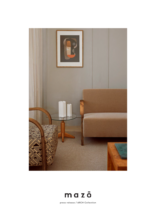



press release / ARCH Collection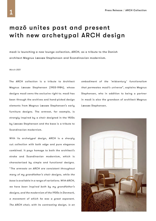## mazō unites past and present with new archetypal ARCH design

mazō is launching a new lounge collection, ARCH, as a tribute to the Danish architect Magnus Læssøe Stephensen and Scandinavian modernism.

## March 2021

The ARCH collection is a tribute to Architect Magnus Læssøe Stephensen (1903-1984), whose designs mazō owns the exclusive right to. mazō has been through the archives and hand-picked design elements from Magnus Læssøe Stephensen's early furniture designs. The armrest, for example, is strongly inspired by a chair designed in the 1920s by Læssøe Stephensen and the base is a tribute to Scandinavian modernism.

With its archetypal design, ARCH is a sharply cut collection with both edge and pure elegance combined. It pays homage to both the architect's stroke and Scandinavian modernism, which is characterized by simple and functional designs. "The armrests on ARCH are consistent throughout many of my grandfather's chair designs, while the base is available in a range of variations. With ARCH, we have been inspired both by my grandfather's designs, and the modernism of the 1930s in Denmark, a movement of which he was a great exponent. The ARCH chair, with its contrasting design, is an embodiment of the 'midcentury' functionalism that permeates mazō's universe", explains Magnus Stephensen, who in addition to being a partner in mazō is also the grandson of architect Magnus Læssøe Stephensen.

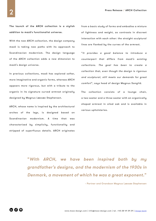The launch of the ARCH collection is a stylish addition to mazō's functionalist universe.

With the new ARCH collection, the design company mazō is taking new paths with its approach to Scandinavian modernism. The design language of the ARCH collection adds a new dimension to mazō's design universe.

In previous collections, mazō has explored softer, more imaginative and organic forms, whereas ARCH appears more rigorous, but with a tribute to the organic in its signature curved armrest originally designed by Magnus Læssøe Stephensen.

ARCH, whose name is inspired by the architectural arches of the legs, is designed based on Scandinavian modernism. A time that was characterized by simplicity, functionality and stripped of superfluous details. ARCH originates from a basic study of forms and embodies a mixture of lightness and weight, as contrasts in discreet interaction with each other: the straight sculptural lines are flanked by the curves of the armrest.

"It provides a good balance to introduce a counterpart that differs from mazō's existing collections. The goal has been to create a collection that, even though the design is rigorous and sculptural, still meets our demands for great comfort", says head of design Magnus Sangild.

The collection consists of a lounge chair, a two-seater and a three-seater with an organically shaped armrest in oiled oak and is available in various upholsteries.

"With ARCH, we have been inspired both by my grandfather's designs, and the modernism of the 1930s in Denmark, a movement of which he was a great exponent."

- Partner and Grandson Magnus Læssøe Stephensen